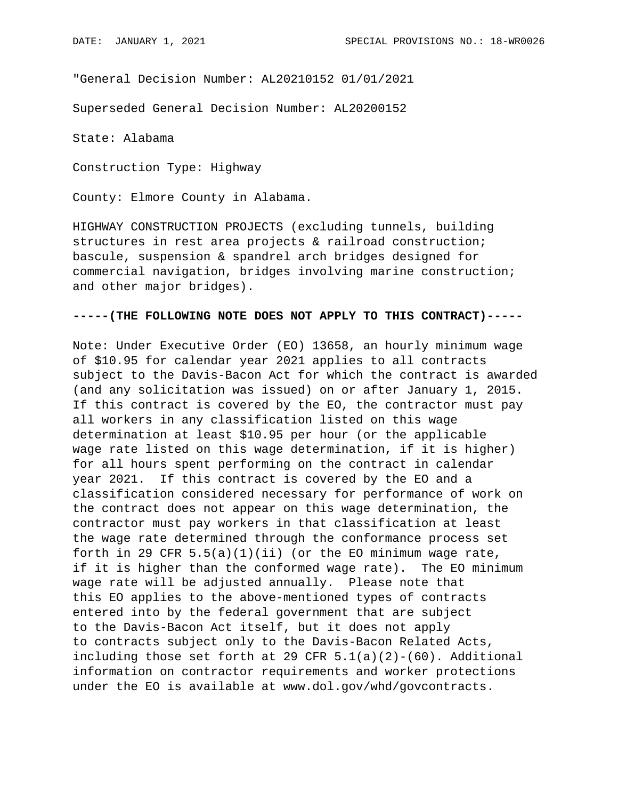"General Decision Number: AL20210152 01/01/2021

Superseded General Decision Number: AL20200152

State: Alabama

Construction Type: Highway

County: Elmore County in Alabama.

HIGHWAY CONSTRUCTION PROJECTS (excluding tunnels, building structures in rest area projects & railroad construction; bascule, suspension & spandrel arch bridges designed for commercial navigation, bridges involving marine construction; and other major bridges).

## **-----(THE FOLLOWING NOTE DOES NOT APPLY TO THIS CONTRACT)-----**

Note: Under Executive Order (EO) 13658, an hourly minimum wage of \$10.95 for calendar year 2021 applies to all contracts subject to the Davis-Bacon Act for which the contract is awarded (and any solicitation was issued) on or after January 1, 2015. If this contract is covered by the EO, the contractor must pay all workers in any classification listed on this wage determination at least \$10.95 per hour (or the applicable wage rate listed on this wage determination, if it is higher) for all hours spent performing on the contract in calendar year 2021. If this contract is covered by the EO and a classification considered necessary for performance of work on the contract does not appear on this wage determination, the contractor must pay workers in that classification at least the wage rate determined through the conformance process set forth in 29 CFR  $5.5(a)(1)(ii)$  (or the EO minimum wage rate, if it is higher than the conformed wage rate). The EO minimum wage rate will be adjusted annually. Please note that this EO applies to the above-mentioned types of contracts entered into by the federal government that are subject to the Davis-Bacon Act itself, but it does not apply to contracts subject only to the Davis-Bacon Related Acts, including those set forth at 29 CFR  $5.1(a)(2)-(60)$ . Additional information on contractor requirements and worker protections under the EO is available at www.dol.gov/whd/govcontracts.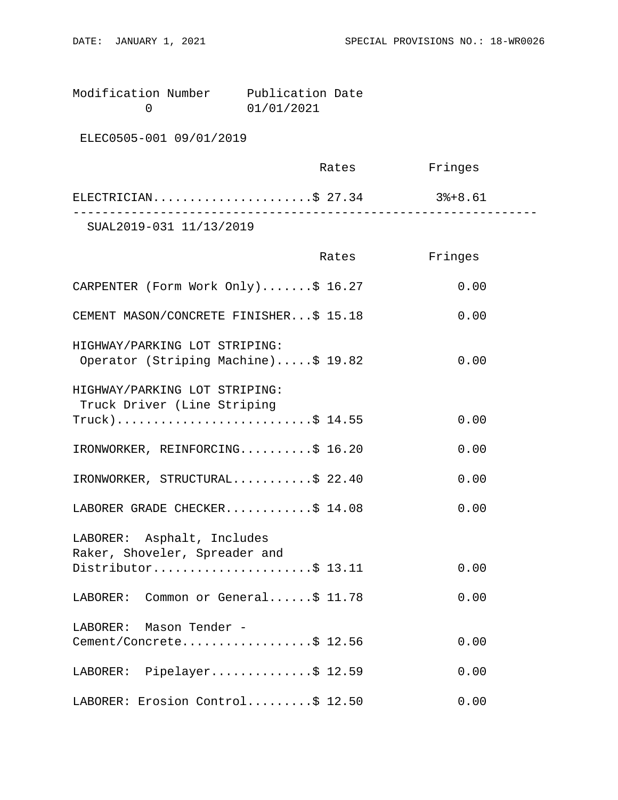| Modification Number | Publication Date |  |
|---------------------|------------------|--|
|                     | 01/01/2021       |  |

ELEC0505-001 09/01/2019

|                         | Rates | Fringes |  |
|-------------------------|-------|---------|--|
| ELECTRICIAN\$ 27.34     |       | 3%+8.61 |  |
| SUAL2019-031 11/13/2019 |       |         |  |

|                                                                      | Rates | Fringes |
|----------------------------------------------------------------------|-------|---------|
| CARPENTER (Form Work Only)\$ 16.27                                   |       | 0.00    |
| CEMENT MASON/CONCRETE FINISHER\$ 15.18                               |       | 0.00    |
| HIGHWAY/PARKING LOT STRIPING:<br>Operator (Striping Machine)\$ 19.82 |       | 0.00    |
| HIGHWAY/PARKING LOT STRIPING:<br>Truck Driver (Line Striping         |       |         |
| $True k$ )\$ 14.55                                                   |       | 0.00    |
| IRONWORKER, REINFORCING\$ 16.20                                      |       | 0.00    |
| IRONWORKER, STRUCTURAL\$ 22.40                                       |       | 0.00    |
| LABORER GRADE CHECKER\$ 14.08                                        |       | 0.00    |
| LABORER: Asphalt, Includes<br>Raker, Shoveler, Spreader and          |       |         |
| Distributor\$ 13.11                                                  |       | 0.00    |
| LABORER: Common or General\$ 11.78                                   |       | 0.00    |
| LABORER: Mason Tender -                                              |       |         |
| Cement/Concrete\$ 12.56                                              |       | 0.00    |
| LABORER: Pipelayer\$ 12.59                                           |       | 0.00    |
| LABORER: Erosion Control\$ 12.50                                     |       | 0.00    |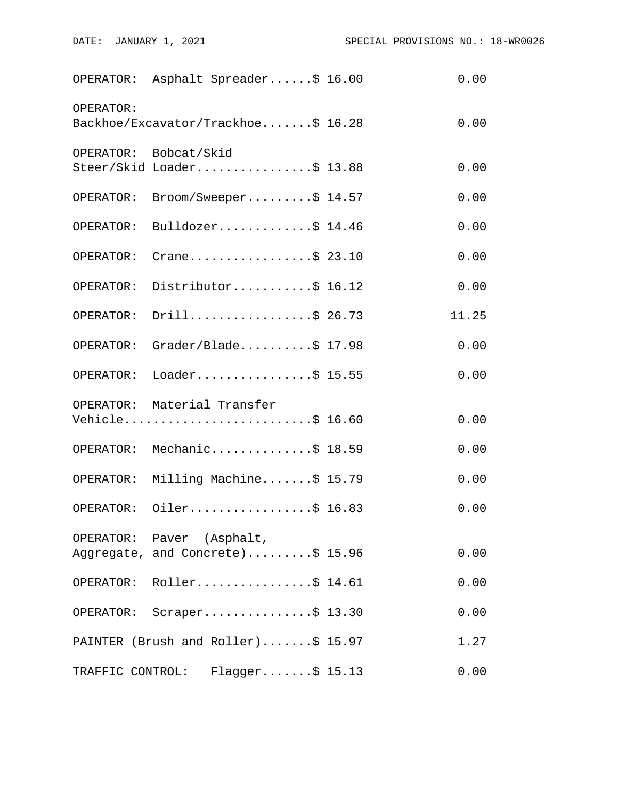|                  | OPERATOR: Asphalt Spreader\$ 16.00                            | 0.00  |
|------------------|---------------------------------------------------------------|-------|
| OPERATOR:        | Backhoe/Excavator/Trackhoe\$ 16.28                            | 0.00  |
|                  | OPERATOR: Bobcat/Skid<br>Steer/Skid Loader\$ 13.88            | 0.00  |
| OPERATOR:        | $\texttt{Broom}/\texttt{Sweeper} \dots \dots \dots \$ 14.57$  | 0.00  |
|                  | OPERATOR: Bulldozer\$ 14.46                                   | 0.00  |
| OPERATOR:        | Crane\$ 23.10                                                 | 0.00  |
| OPERATOR:        | Distributor\$ 16.12                                           | 0.00  |
| OPERATOR:        | Drill\$ 26.73                                                 | 11.25 |
|                  | OPERATOR: Grader/Blade\$ 17.98                                | 0.00  |
| OPERATOR:        | Loader\$ 15.55                                                | 0.00  |
|                  | OPERATOR: Material Transfer<br>Vehicle\$ 16.60                | 0.00  |
|                  | OPERATOR: Mechanic\$ 18.59                                    | 0.00  |
|                  | OPERATOR: Milling Machine\$ 15.79                             | 0.00  |
|                  | OPERATOR: Oiler\$ 16.83                                       | 0.00  |
|                  | OPERATOR: Paver (Asphalt,<br>Aggregate, and Concrete)\$ 15.96 | 0.00  |
|                  | OPERATOR: Roller\$ 14.61                                      | 0.00  |
| OPERATOR:        | $Scraper \ldots \ldots \ldots \ldots \$ 13.30                 | 0.00  |
|                  | PAINTER (Brush and Roller)\$ 15.97                            | 1.27  |
| TRAFFIC CONTROL: | $Flagger \ldots \ldots$ \$ 15.13                              | 0.00  |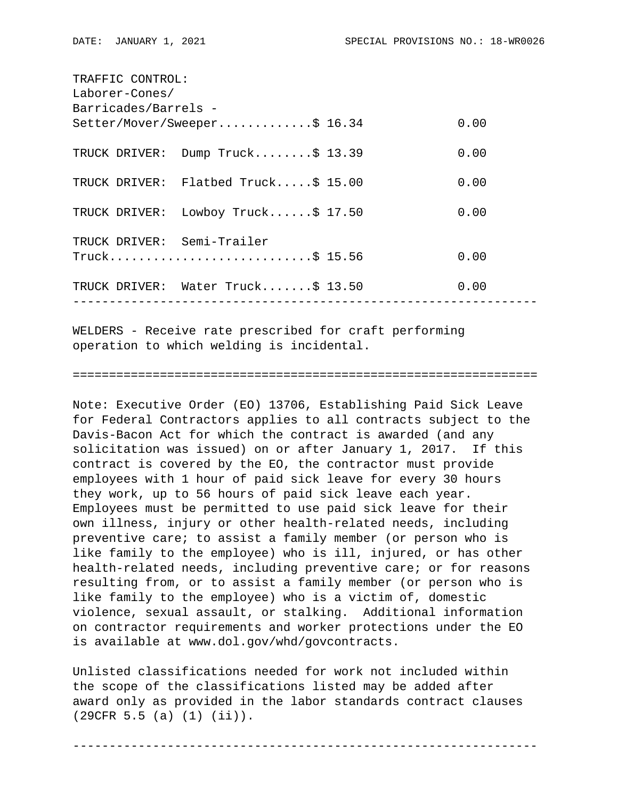| TRAFFIC CONTROL:           |                                     |  |      |
|----------------------------|-------------------------------------|--|------|
| Laborer-Cones/             |                                     |  |      |
| Barricades/Barrels -       |                                     |  |      |
|                            | Setter/Mover/Sweeper\$ 16.34        |  | 0.00 |
|                            | TRUCK DRIVER: Dump Truck\$ 13.39    |  | 0.00 |
|                            | TRUCK DRIVER: Flatbed Truck\$ 15.00 |  | 0.00 |
|                            | TRUCK DRIVER: Lowboy Truck\$ 17.50  |  | 0.00 |
| TRUCK DRIVER: Semi-Trailer |                                     |  |      |
|                            | $True k$ \$ 15.56                   |  | 0.00 |
|                            | TRUCK DRIVER: Water Truck\$ 13.50   |  | 0.00 |
|                            |                                     |  |      |

WELDERS - Receive rate prescribed for craft performing operation to which welding is incidental.

## ================================================================

Note: Executive Order (EO) 13706, Establishing Paid Sick Leave for Federal Contractors applies to all contracts subject to the Davis-Bacon Act for which the contract is awarded (and any solicitation was issued) on or after January 1, 2017. If this contract is covered by the EO, the contractor must provide employees with 1 hour of paid sick leave for every 30 hours they work, up to 56 hours of paid sick leave each year. Employees must be permitted to use paid sick leave for their own illness, injury or other health-related needs, including preventive care; to assist a family member (or person who is like family to the employee) who is ill, injured, or has other health-related needs, including preventive care; or for reasons resulting from, or to assist a family member (or person who is like family to the employee) who is a victim of, domestic violence, sexual assault, or stalking. Additional information on contractor requirements and worker protections under the EO is available at www.dol.gov/whd/govcontracts.

Unlisted classifications needed for work not included within the scope of the classifications listed may be added after award only as provided in the labor standards contract clauses (29CFR 5.5 (a) (1) (ii)).

----------------------------------------------------------------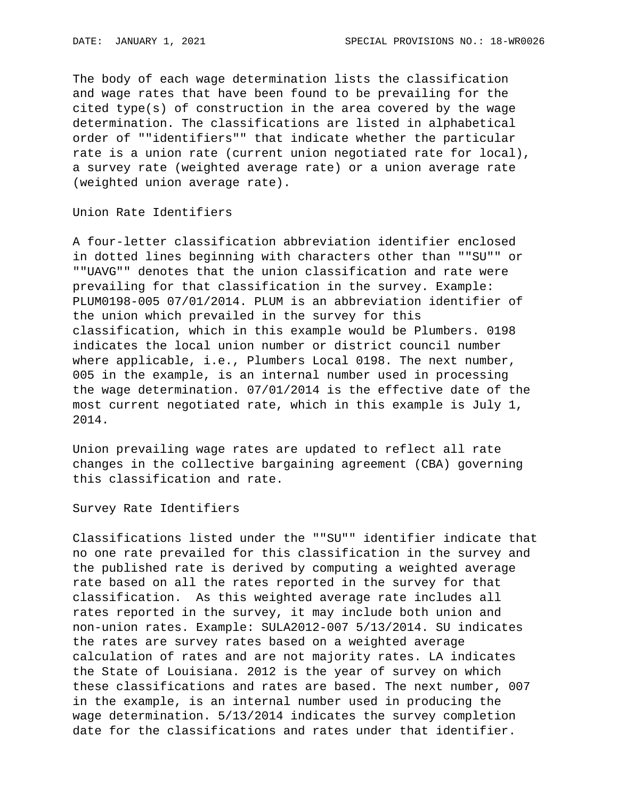The body of each wage determination lists the classification and wage rates that have been found to be prevailing for the cited type(s) of construction in the area covered by the wage determination. The classifications are listed in alphabetical order of ""identifiers"" that indicate whether the particular rate is a union rate (current union negotiated rate for local), a survey rate (weighted average rate) or a union average rate (weighted union average rate).

Union Rate Identifiers

A four-letter classification abbreviation identifier enclosed in dotted lines beginning with characters other than ""SU"" or ""UAVG"" denotes that the union classification and rate were prevailing for that classification in the survey. Example: PLUM0198-005 07/01/2014. PLUM is an abbreviation identifier of the union which prevailed in the survey for this classification, which in this example would be Plumbers. 0198 indicates the local union number or district council number where applicable, i.e., Plumbers Local 0198. The next number, 005 in the example, is an internal number used in processing the wage determination. 07/01/2014 is the effective date of the most current negotiated rate, which in this example is July 1, 2014.

Union prevailing wage rates are updated to reflect all rate changes in the collective bargaining agreement (CBA) governing this classification and rate.

Survey Rate Identifiers

Classifications listed under the ""SU"" identifier indicate that no one rate prevailed for this classification in the survey and the published rate is derived by computing a weighted average rate based on all the rates reported in the survey for that classification. As this weighted average rate includes all rates reported in the survey, it may include both union and non-union rates. Example: SULA2012-007 5/13/2014. SU indicates the rates are survey rates based on a weighted average calculation of rates and are not majority rates. LA indicates the State of Louisiana. 2012 is the year of survey on which these classifications and rates are based. The next number, 007 in the example, is an internal number used in producing the wage determination. 5/13/2014 indicates the survey completion date for the classifications and rates under that identifier.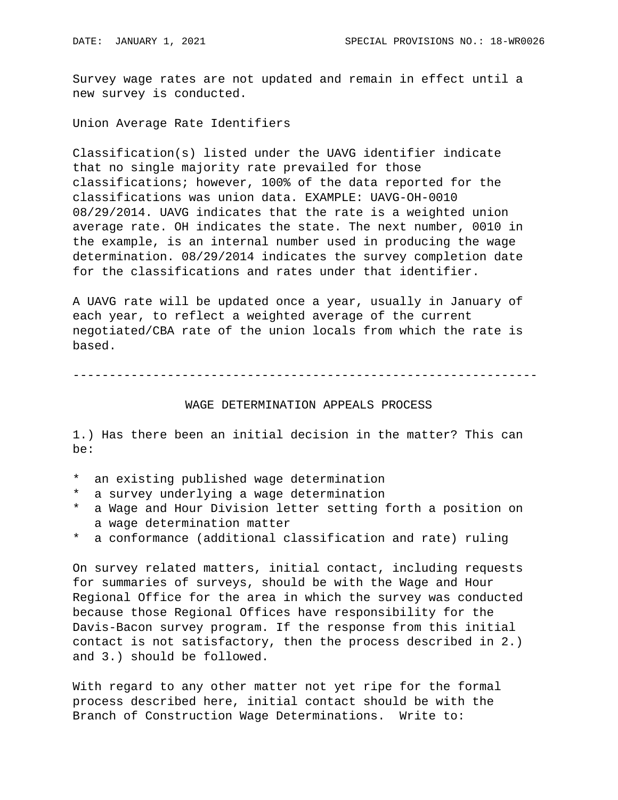Survey wage rates are not updated and remain in effect until a new survey is conducted.

Union Average Rate Identifiers

Classification(s) listed under the UAVG identifier indicate that no single majority rate prevailed for those classifications; however, 100% of the data reported for the classifications was union data. EXAMPLE: UAVG-OH-0010 08/29/2014. UAVG indicates that the rate is a weighted union average rate. OH indicates the state. The next number, 0010 in the example, is an internal number used in producing the wage determination. 08/29/2014 indicates the survey completion date for the classifications and rates under that identifier.

A UAVG rate will be updated once a year, usually in January of each year, to reflect a weighted average of the current negotiated/CBA rate of the union locals from which the rate is based.

----------------------------------------------------------------

## WAGE DETERMINATION APPEALS PROCESS

1.) Has there been an initial decision in the matter? This can be:

- \* an existing published wage determination
- \* a survey underlying a wage determination
- \* a Wage and Hour Division letter setting forth a position on a wage determination matter
- \* a conformance (additional classification and rate) ruling

On survey related matters, initial contact, including requests for summaries of surveys, should be with the Wage and Hour Regional Office for the area in which the survey was conducted because those Regional Offices have responsibility for the Davis-Bacon survey program. If the response from this initial contact is not satisfactory, then the process described in 2.) and 3.) should be followed.

With regard to any other matter not yet ripe for the formal process described here, initial contact should be with the Branch of Construction Wage Determinations. Write to: